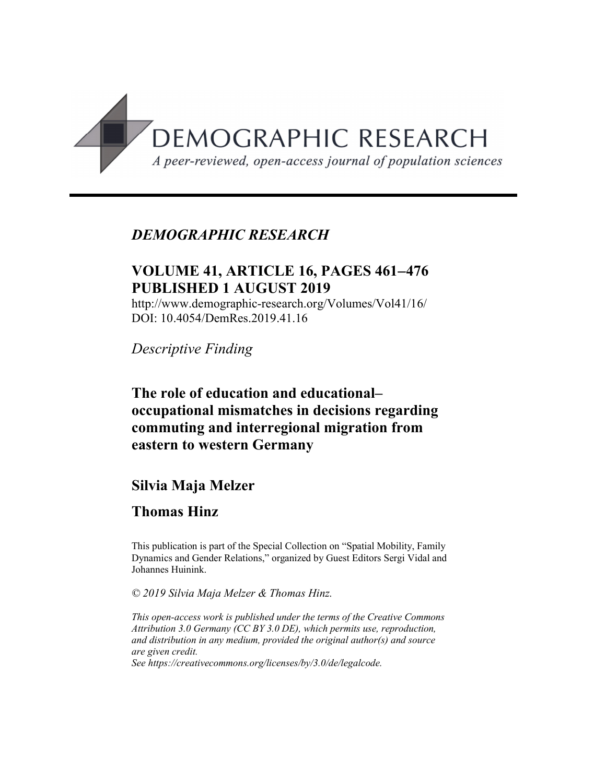

## *DEMOGRAPHIC RESEARCH*

# **VOLUME 41, ARTICLE 16, PAGES 461**-**476 PUBLISHED 1 AUGUST 2019**

http://www.demographic-research.org/Volumes/Vol41/16/ DOI: 10.4054/DemRes.2019.41.16

*Descriptive Finding*

**The role of education and educational– occupational mismatches in decisions regarding commuting and interregional migration from eastern to western Germany**

## **Silvia Maja Melzer**

# **Thomas Hinz**

This publication is part of the Special Collection on "Spatial Mobility, Family Dynamics and Gender Relations," organized by Guest Editors Sergi Vidal and Johannes Huinink.

*© 2019 Silvia Maja Melzer & Thomas Hinz.*

*This open-access work is published under the terms of the Creative Commons Attribution 3.0 Germany (CC BY 3.0 DE), which permits use, reproduction, and distribution in any medium, provided the original author(s) and source are given credit. See [https://creativecommons.org/licenses/by/3.0/de/legalcode.](https://creativecommons.org/licenses/by/3.0/de/legalcode)*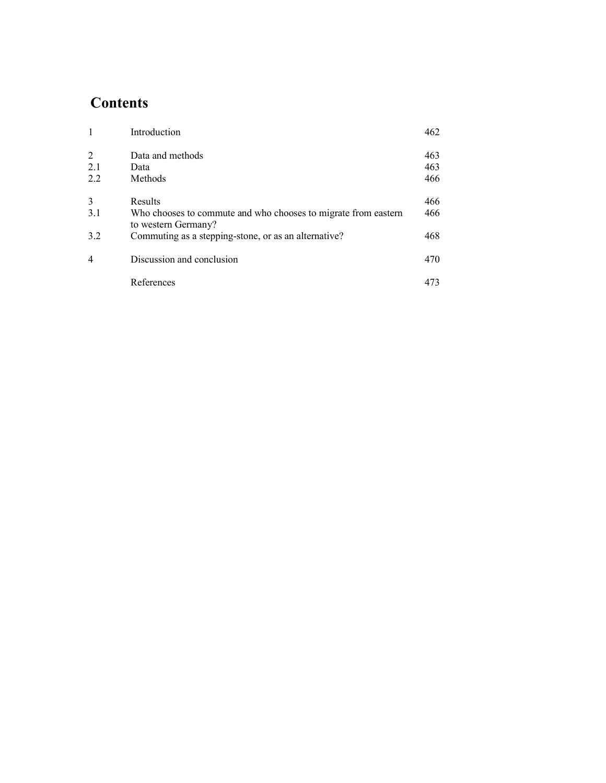# **Contents**

| 1   | Introduction                                                                          | 462 |
|-----|---------------------------------------------------------------------------------------|-----|
| 2   | Data and methods                                                                      | 463 |
| 2.1 | Data                                                                                  | 463 |
| 2.2 | Methods                                                                               | 466 |
| 3   | Results                                                                               | 466 |
| 3.1 | Who chooses to commute and who chooses to migrate from eastern<br>to western Germany? | 466 |
| 3.2 | Commuting as a stepping-stone, or as an alternative?                                  | 468 |
| 4   | Discussion and conclusion                                                             | 470 |
|     | References                                                                            | 473 |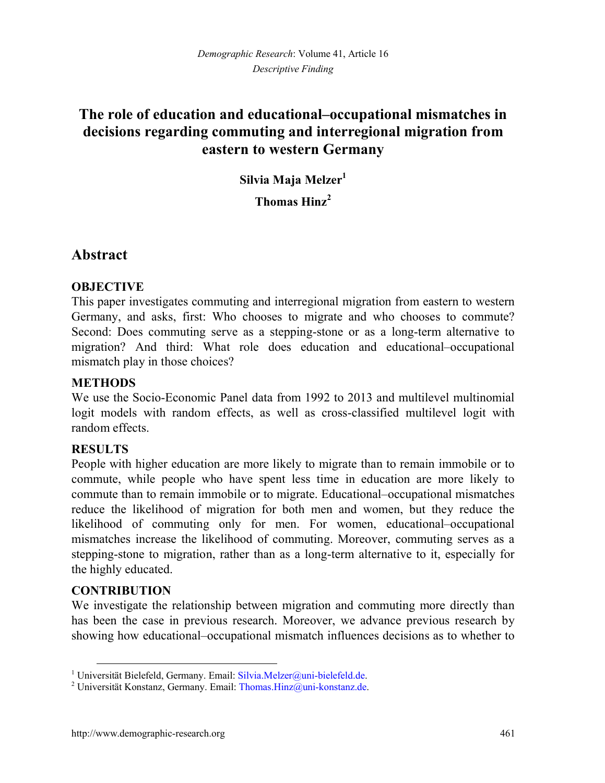# **The role of education and educational–occupational mismatches in decisions regarding commuting and interregional migration from eastern to western Germany**

**Silvia Maja Melzer[1](#page-2-0)**

**Thomas Hinz[2](#page-2-1)**

## **Abstract**

### **OBJECTIVE**

This paper investigates commuting and interregional migration from eastern to western Germany, and asks, first: Who chooses to migrate and who chooses to commute? Second: Does commuting serve as a stepping-stone or as a long-term alternative to migration? And third: What role does education and educational–occupational mismatch play in those choices?

#### **METHODS**

We use the Socio-Economic Panel data from 1992 to 2013 and multilevel multinomial logit models with random effects, as well as cross-classified multilevel logit with random effects.

#### **RESULTS**

People with higher education are more likely to migrate than to remain immobile or to commute, while people who have spent less time in education are more likely to commute than to remain immobile or to migrate. Educational–occupational mismatches reduce the likelihood of migration for both men and women, but they reduce the likelihood of commuting only for men. For women, educational–occupational mismatches increase the likelihood of commuting. Moreover, commuting serves as a stepping-stone to migration, rather than as a long-term alternative to it, especially for the highly educated.

### **CONTRIBUTION**

We investigate the relationship between migration and commuting more directly than has been the case in previous research. Moreover, we advance previous research by showing how educational–occupational mismatch influences decisions as to whether to

<span id="page-2-0"></span><sup>&</sup>lt;sup>1</sup> Universität Bielefeld, Germany. Email: [Silvia.Melzer@uni-bielefeld.de.](mailto:Silvia.Melzer@uni-bielefeld.de)

<span id="page-2-1"></span><sup>&</sup>lt;sup>2</sup> Universität Konstanz, Germany. Email: Thomas. Hinz@uni-konstanz.de.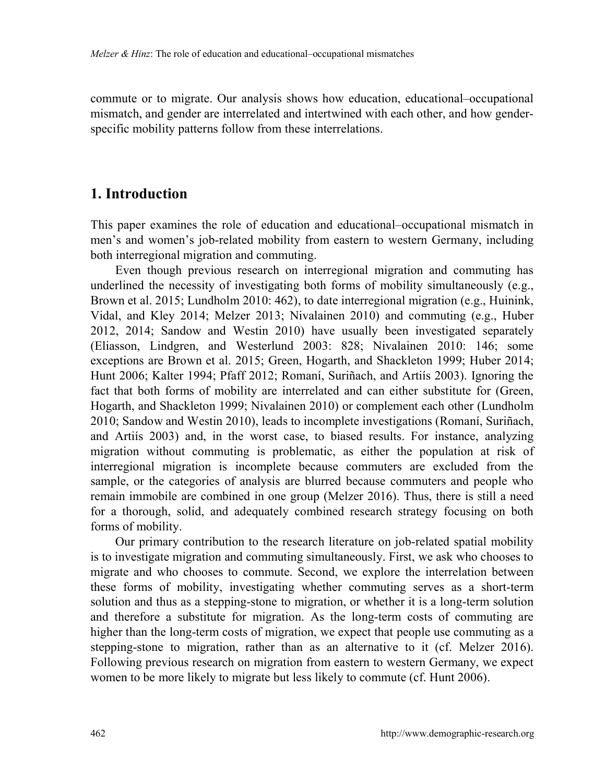commute or to migrate. Our analysis shows how education, educational–occupational mismatch, and gender are interrelated and intertwined with each other, and how genderspecific mobility patterns follow from these interrelations.

## **1. Introduction**

This paper examines the role of education and educational–occupational mismatch in men's and women's job-related mobility from eastern to western Germany, including both interregional migration and commuting.

Even though previous research on interregional migration and commuting has underlined the necessity of investigating both forms of mobility simultaneously (e.g., Brown et al. 2015; Lundholm 2010: 462), to date interregional migration (e.g., Huinink, Vidal, and Kley 2014; Melzer 2013; Nivalainen 2010) and commuting (e.g., Huber 2012, 2014; Sandow and Westin 2010) have usually been investigated separately (Eliasson, Lindgren, and Westerlund 2003: 828; Nivalainen 2010: 146; some exceptions are Brown et al. 2015; Green, Hogarth, and Shackleton 1999; Huber 2014; Hunt 2006; Kalter 1994; Pfaff 2012; Romaní, Suriñach, and Artiís 2003). Ignoring the fact that both forms of mobility are interrelated and can either substitute for (Green, Hogarth, and Shackleton 1999; Nivalainen 2010) or complement each other (Lundholm 2010; Sandow and Westin 2010), leads to incomplete investigations (Romaní, Suriñach, and Artiís 2003) and, in the worst case, to biased results. For instance, analyzing migration without commuting is problematic, as either the population at risk of interregional migration is incomplete because commuters are excluded from the sample, or the categories of analysis are blurred because commuters and people who remain immobile are combined in one group (Melzer 2016). Thus, there is still a need for a thorough, solid, and adequately combined research strategy focusing on both forms of mobility.

Our primary contribution to the research literature on job-related spatial mobility is to investigate migration and commuting simultaneously. First, we ask who chooses to migrate and who chooses to commute. Second, we explore the interrelation between these forms of mobility, investigating whether commuting serves as a short-term solution and thus as a stepping-stone to migration, or whether it is a long-term solution and therefore a substitute for migration. As the long-term costs of commuting are higher than the long-term costs of migration, we expect that people use commuting as a stepping-stone to migration, rather than as an alternative to it (cf. Melzer 2016). Following previous research on migration from eastern to western Germany, we expect women to be more likely to migrate but less likely to commute (cf. Hunt 2006).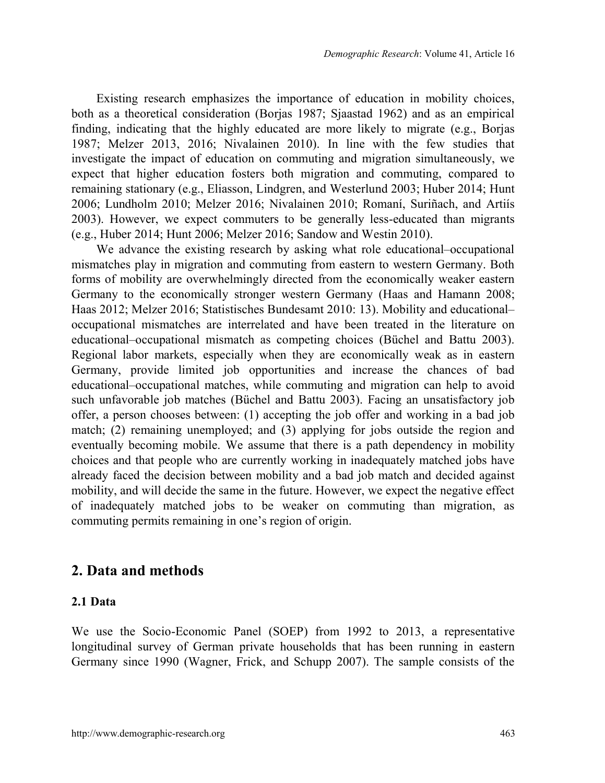Existing research emphasizes the importance of education in mobility choices, both as a theoretical consideration (Borjas 1987; Sjaastad 1962) and as an empirical finding, indicating that the highly educated are more likely to migrate (e.g., Borjas 1987; Melzer 2013, 2016; Nivalainen 2010). In line with the few studies that investigate the impact of education on commuting and migration simultaneously, we expect that higher education fosters both migration and commuting, compared to remaining stationary (e.g., Eliasson, Lindgren, and Westerlund 2003; Huber 2014; Hunt 2006; Lundholm 2010; Melzer 2016; Nivalainen 2010; Romaní, Suriñach, and Artiís 2003). However, we expect commuters to be generally less-educated than migrants (e.g., Huber 2014; Hunt 2006; Melzer 2016; Sandow and Westin 2010).

We advance the existing research by asking what role educational–occupational mismatches play in migration and commuting from eastern to western Germany. Both forms of mobility are overwhelmingly directed from the economically weaker eastern Germany to the economically stronger western Germany (Haas and Hamann 2008; Haas 2012; Melzer 2016; Statistisches Bundesamt 2010: 13). Mobility and educational– occupational mismatches are interrelated and have been treated in the literature on educational–occupational mismatch as competing choices (Büchel and Battu 2003). Regional labor markets, especially when they are economically weak as in eastern Germany, provide limited job opportunities and increase the chances of bad educational–occupational matches, while commuting and migration can help to avoid such unfavorable job matches (Büchel and Battu 2003). Facing an unsatisfactory job offer, a person chooses between: (1) accepting the job offer and working in a bad job match; (2) remaining unemployed; and (3) applying for jobs outside the region and eventually becoming mobile. We assume that there is a path dependency in mobility choices and that people who are currently working in inadequately matched jobs have already faced the decision between mobility and a bad job match and decided against mobility, and will decide the same in the future. However, we expect the negative effect of inadequately matched jobs to be weaker on commuting than migration, as commuting permits remaining in one's region of origin.

### **2. Data and methods**

#### **2.1 Data**

We use the Socio-Economic Panel (SOEP) from 1992 to 2013, a representative longitudinal survey of German private households that has been running in eastern Germany since 1990 (Wagner, Frick, and Schupp 2007). The sample consists of the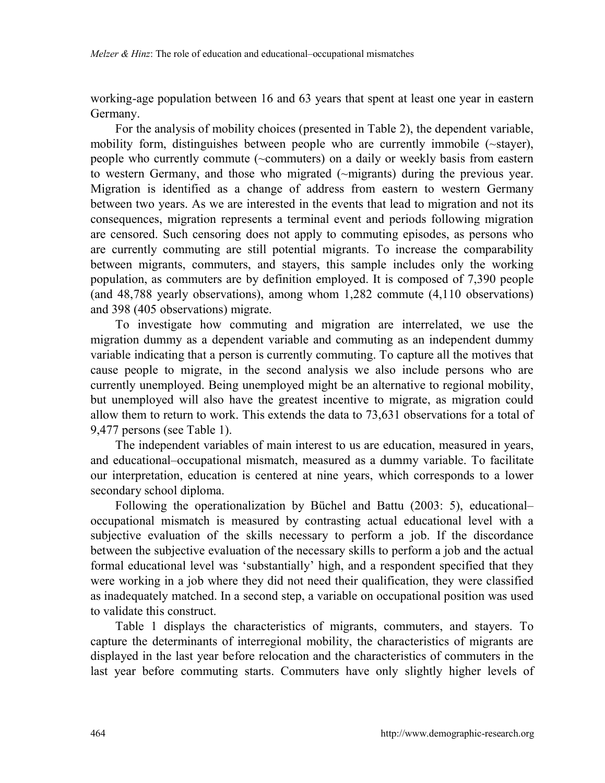working-age population between 16 and 63 years that spent at least one year in eastern Germany.

For the analysis of mobility choices (presented in Table 2), the dependent variable, mobility form, distinguishes between people who are currently immobile (~stayer), people who currently commute (~commuters) on a daily or weekly basis from eastern to western Germany, and those who migrated (~migrants) during the previous year. Migration is identified as a change of address from eastern to western Germany between two years. As we are interested in the events that lead to migration and not its consequences, migration represents a terminal event and periods following migration are censored. Such censoring does not apply to commuting episodes, as persons who are currently commuting are still potential migrants. To increase the comparability between migrants, commuters, and stayers, this sample includes only the working population, as commuters are by definition employed. It is composed of 7,390 people (and 48,788 yearly observations), among whom 1,282 commute (4,110 observations) and 398 (405 observations) migrate.

To investigate how commuting and migration are interrelated, we use the migration dummy as a dependent variable and commuting as an independent dummy variable indicating that a person is currently commuting. To capture all the motives that cause people to migrate, in the second analysis we also include persons who are currently unemployed. Being unemployed might be an alternative to regional mobility, but unemployed will also have the greatest incentive to migrate, as migration could allow them to return to work. This extends the data to 73,631 observations for a total of 9,477 persons (see Table 1).

The independent variables of main interest to us are education, measured in years, and educational–occupational mismatch, measured as a dummy variable. To facilitate our interpretation, education is centered at nine years, which corresponds to a lower secondary school diploma.

Following the operationalization by Büchel and Battu (2003: 5), educational– occupational mismatch is measured by contrasting actual educational level with a subjective evaluation of the skills necessary to perform a job. If the discordance between the subjective evaluation of the necessary skills to perform a job and the actual formal educational level was 'substantially' high, and a respondent specified that they were working in a job where they did not need their qualification, they were classified as inadequately matched. In a second step, a variable on occupational position was used to validate this construct.

Table 1 displays the characteristics of migrants, commuters, and stayers. To capture the determinants of interregional mobility, the characteristics of migrants are displayed in the last year before relocation and the characteristics of commuters in the last year before commuting starts. Commuters have only slightly higher levels of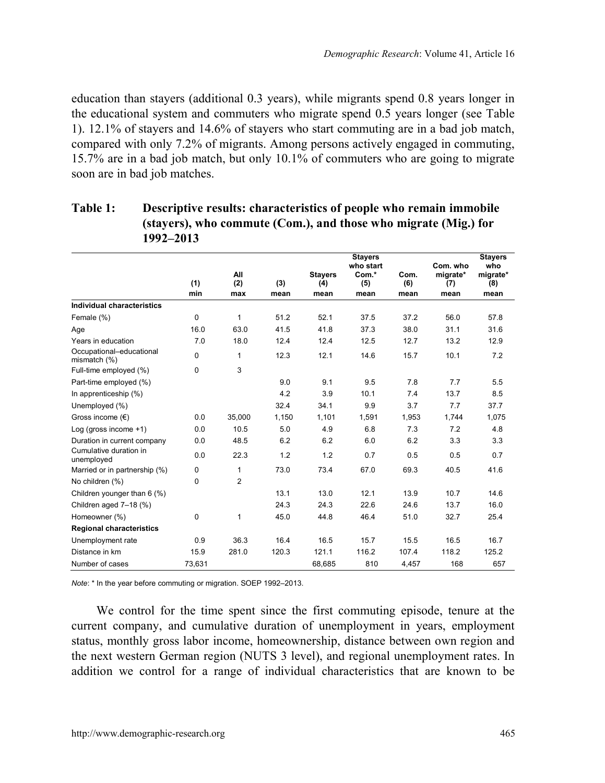education than stayers (additional 0.3 years), while migrants spend 0.8 years longer in the educational system and commuters who migrate spend 0.5 years longer (see Table 1). 12.1% of stayers and 14.6% of stayers who start commuting are in a bad job match, compared with only 7.2% of migrants. Among persons actively engaged in commuting, 15.7% are in a bad job match, but only 10.1% of commuters who are going to migrate soon are in bad job matches.

|                                          | (1)      | All<br>(2)     | (3)   | <b>Stayers</b> | <b>Stayers</b><br>who start<br>Com.* | Com.        | Com. who<br>migrate* | <b>Stayers</b><br>who<br>migrate* |
|------------------------------------------|----------|----------------|-------|----------------|--------------------------------------|-------------|----------------------|-----------------------------------|
|                                          | min      | max            | mean  | (4)<br>mean    | (5)<br>mean                          | (6)<br>mean | (7)<br>mean          | (8)<br>mean                       |
| Individual characteristics               |          |                |       |                |                                      |             |                      |                                   |
| Female (%)                               | 0        | 1              | 51.2  | 52.1           | 37.5                                 | 37.2        | 56.0                 | 57.8                              |
| Age                                      | 16.0     | 63.0           | 41.5  | 41.8           | 37.3                                 | 38.0        | 31.1                 | 31.6                              |
| Years in education                       | 7.0      | 18.0           | 12.4  | 12.4           | 12.5                                 | 12.7        | 13.2                 | 12.9                              |
| Occupational-educational<br>mismatch (%) | $\Omega$ | 1              | 12.3  | 12.1           | 14.6                                 | 15.7        | 10.1                 | 7.2                               |
| Full-time employed (%)                   | 0        | 3              |       |                |                                      |             |                      |                                   |
| Part-time employed (%)                   |          |                | 9.0   | 9.1            | 9.5                                  | 7.8         | 7.7                  | 5.5                               |
| In apprenticeship (%)                    |          |                | 4.2   | 3.9            | 10.1                                 | 7.4         | 13.7                 | 8.5                               |
| Unemployed (%)                           |          |                | 32.4  | 34.1           | 9.9                                  | 3.7         | 7.7                  | 37.7                              |
| Gross income $(\epsilon)$                | 0.0      | 35.000         | 1,150 | 1,101          | 1,591                                | 1.953       | 1.744                | 1,075                             |
| Log (gross income +1)                    | 0.0      | 10.5           | 5.0   | 4.9            | 6.8                                  | 7.3         | 7.2                  | 4.8                               |
| Duration in current company              | 0.0      | 48.5           | 6.2   | 6.2            | 6.0                                  | 6.2         | 3.3                  | 3.3                               |
| Cumulative duration in<br>unemployed     | 0.0      | 22.3           | 1.2   | 1.2            | 0.7                                  | 0.5         | 0.5                  | 0.7                               |
| Married or in partnership (%)            | 0        | 1              | 73.0  | 73.4           | 67.0                                 | 69.3        | 40.5                 | 41.6                              |
| No children (%)                          | $\Omega$ | $\overline{2}$ |       |                |                                      |             |                      |                                   |
| Children younger than 6 (%)              |          |                | 13.1  | 13.0           | 12.1                                 | 13.9        | 10.7                 | 14.6                              |
| Children aged 7-18 (%)                   |          |                | 24.3  | 24.3           | 22.6                                 | 24.6        | 13.7                 | 16.0                              |
| Homeowner (%)                            | 0        | 1              | 45.0  | 44.8           | 46.4                                 | 51.0        | 32.7                 | 25.4                              |
| <b>Regional characteristics</b>          |          |                |       |                |                                      |             |                      |                                   |
| Unemployment rate                        | 0.9      | 36.3           | 16.4  | 16.5           | 15.7                                 | 15.5        | 16.5                 | 16.7                              |
| Distance in km                           | 15.9     | 281.0          | 120.3 | 121.1          | 116.2                                | 107.4       | 118.2                | 125.2                             |
| Number of cases                          | 73,631   |                |       | 68.685         | 810                                  | 4.457       | 168                  | 657                               |

### **Table 1: Descriptive results: characteristics of people who remain immobile (stayers), who commute (Com.), and those who migrate (Mig.) for 1992–2013**

*Note*: \* In the year before commuting or migration. SOEP 1992–2013.

We control for the time spent since the first commuting episode, tenure at the current company, and cumulative duration of unemployment in years, employment status, monthly gross labor income, homeownership, distance between own region and the next western German region (NUTS 3 level), and regional unemployment rates. In addition we control for a range of individual characteristics that are known to be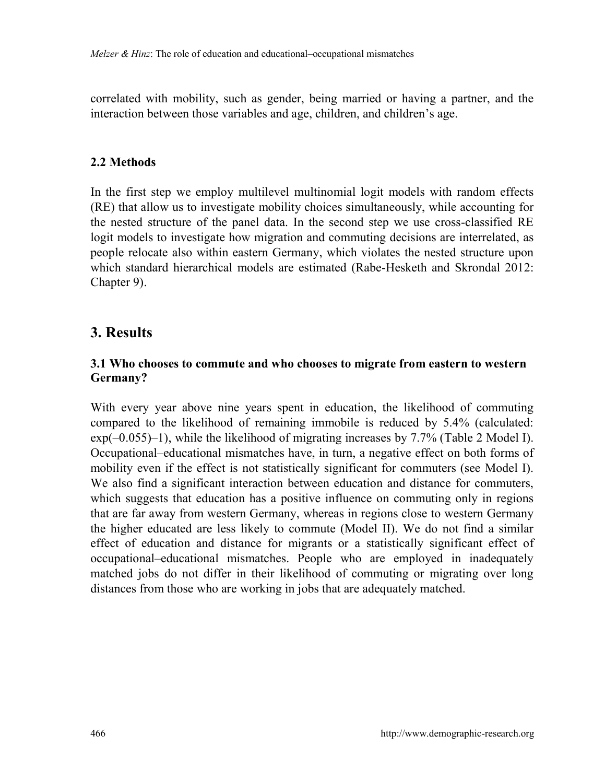correlated with mobility, such as gender, being married or having a partner, and the interaction between those variables and age, children, and children's age.

#### **2.2 Methods**

In the first step we employ multilevel multinomial logit models with random effects (RE) that allow us to investigate mobility choices simultaneously, while accounting for the nested structure of the panel data. In the second step we use cross-classified RE logit models to investigate how migration and commuting decisions are interrelated, as people relocate also within eastern Germany, which violates the nested structure upon which standard hierarchical models are estimated (Rabe-Hesketh and Skrondal 2012: Chapter 9).

## **3. Results**

#### **3.1 Who chooses to commute and who chooses to migrate from eastern to western Germany?**

With every year above nine years spent in education, the likelihood of commuting compared to the likelihood of remaining immobile is reduced by 5.4% (calculated: exp(–0.055)–1), while the likelihood of migrating increases by 7.7% (Table 2 Model I). Occupational–educational mismatches have, in turn, a negative effect on both forms of mobility even if the effect is not statistically significant for commuters (see Model I). We also find a significant interaction between education and distance for commuters, which suggests that education has a positive influence on commuting only in regions that are far away from western Germany, whereas in regions close to western Germany the higher educated are less likely to commute (Model II). We do not find a similar effect of education and distance for migrants or a statistically significant effect of occupational–educational mismatches. People who are employed in inadequately matched jobs do not differ in their likelihood of commuting or migrating over long distances from those who are working in jobs that are adequately matched.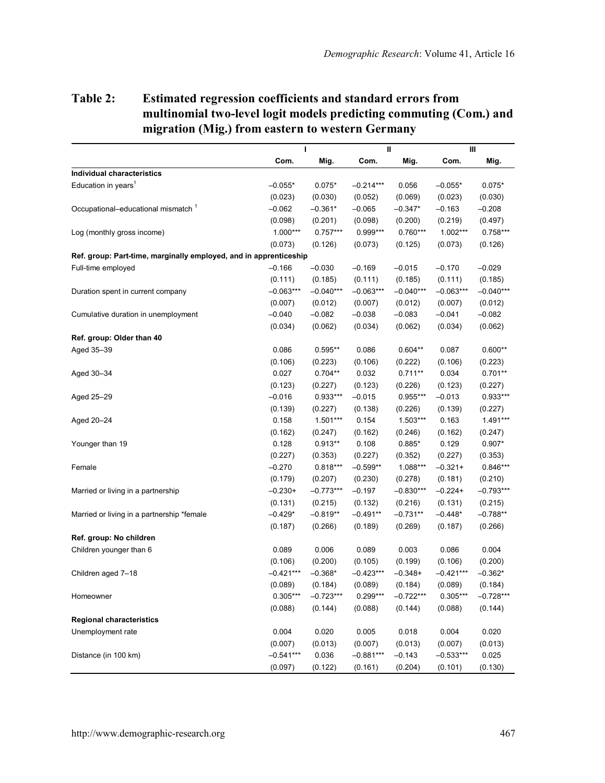### **Table 2: Estimated regression coefficients and standard errors from multinomial two-level logit models predicting commuting (Com.) and migration (Mig.) from eastern to western Germany**

|                                                                   |             | I           |             | Ш           |             | Ш           |  |
|-------------------------------------------------------------------|-------------|-------------|-------------|-------------|-------------|-------------|--|
|                                                                   | Com.        | Mig.        | Com.        | Mig.        | Com.        | Mig.        |  |
| Individual characteristics                                        |             |             |             |             |             |             |  |
| Education in years <sup>1</sup>                                   | $-0.055*$   | $0.075*$    | $-0.214***$ | 0.056       | $-0.055*$   | $0.075*$    |  |
|                                                                   | (0.023)     | (0.030)     | (0.052)     | (0.069)     | (0.023)     | (0.030)     |  |
| Occupational-educational mismatch <sup>1</sup>                    | $-0.062$    | $-0.361*$   | $-0.065$    | $-0.347*$   | $-0.163$    | $-0.208$    |  |
|                                                                   | (0.098)     | (0.201)     | (0.098)     | (0.200)     | (0.219)     | (0.497)     |  |
| Log (monthly gross income)                                        | 1.000***    | $0.757***$  | 0.999***    | $0.760***$  | $1.002***$  | $0.758***$  |  |
|                                                                   | (0.073)     | (0.126)     | (0.073)     | (0.125)     | (0.073)     | (0.126)     |  |
| Ref. group: Part-time, marginally employed, and in apprenticeship |             |             |             |             |             |             |  |
| Full-time employed                                                | $-0.166$    | $-0.030$    | $-0.169$    | $-0.015$    | $-0.170$    | $-0.029$    |  |
|                                                                   | (0.111)     | (0.185)     | (0.111)     | (0.185)     | (0.111)     | (0.185)     |  |
| Duration spent in current company                                 | $-0.063***$ | $-0.040***$ | $-0.063***$ | $-0.040***$ | $-0.063***$ | $-0.040***$ |  |
|                                                                   | (0.007)     | (0.012)     | (0.007)     | (0.012)     | (0.007)     | (0.012)     |  |
| Cumulative duration in unemployment                               | $-0.040$    | $-0.082$    | $-0.038$    | $-0.083$    | $-0.041$    | $-0.082$    |  |
|                                                                   | (0.034)     | (0.062)     | (0.034)     | (0.062)     | (0.034)     | (0.062)     |  |
| Ref. group: Older than 40                                         |             |             |             |             |             |             |  |
| Aged 35-39                                                        | 0.086       | $0.595**$   | 0.086       | $0.604**$   | 0.087       | $0.600**$   |  |
|                                                                   | (0.106)     | (0.223)     | (0.106)     | (0.222)     | (0.106)     | (0.223)     |  |
| Aged 30-34                                                        | 0.027       | $0.704**$   | 0.032       | $0.711**$   | 0.034       | $0.701**$   |  |
|                                                                   | (0.123)     | (0.227)     | (0.123)     | (0.226)     | (0.123)     | (0.227)     |  |
| Aged 25-29                                                        | $-0.016$    | $0.933***$  | $-0.015$    | $0.955***$  | $-0.013$    | $0.933***$  |  |
|                                                                   | (0.139)     | (0.227)     | (0.138)     | (0.226)     | (0.139)     | (0.227)     |  |
| Aged 20-24                                                        | 0.158       | $1.501***$  | 0.154       | $1.503***$  | 0.163       | $1.491***$  |  |
|                                                                   | (0.162)     | (0.247)     | (0.162)     | (0.246)     | (0.162)     | (0.247)     |  |
| Younger than 19                                                   | 0.128       | $0.913**$   | 0.108       | $0.885*$    | 0.129       | $0.907*$    |  |
|                                                                   | (0.227)     | (0.353)     | (0.227)     | (0.352)     | (0.227)     | (0.353)     |  |
| Female                                                            | $-0.270$    | $0.818***$  | $-0.599**$  | 1.088***    | $-0.321+$   | $0.846***$  |  |
|                                                                   | (0.179)     | (0.207)     | (0.230)     | (0.278)     | (0.181)     | (0.210)     |  |
| Married or living in a partnership                                | $-0.230+$   | $-0.773***$ | $-0.197$    | $-0.830***$ | $-0.224+$   | $-0.793***$ |  |
|                                                                   | (0.131)     | (0.215)     | (0.132)     | (0.216)     | (0.131)     | (0.215)     |  |
| Married or living in a partnership *female                        | $-0.429*$   | $-0.819**$  | $-0.491**$  | $-0.731**$  | $-0.448*$   | $-0.788**$  |  |
|                                                                   | (0.187)     | (0.266)     | (0.189)     | (0.269)     | (0.187)     | (0.266)     |  |
| Ref. group: No children                                           |             |             |             |             |             |             |  |
| Children younger than 6                                           | 0.089       | 0.006       | 0.089       | 0.003       | 0.086       | 0.004       |  |
|                                                                   | (0.106)     | (0.200)     | (0.105)     | (0.199)     | (0.106)     | (0.200)     |  |
| Children aged 7-18                                                | $-0.421***$ | $-0.368*$   | $-0.423***$ | $-0.348+$   | $-0.421***$ | $-0.362*$   |  |
|                                                                   | (0.089)     | (0.184)     | (0.089)     | (0.184)     | (0.089)     | (0.184)     |  |
| Homeowner                                                         | $0.305***$  | $-0.723***$ | $0.299***$  | $-0.722***$ | $0.305***$  | $-0.728***$ |  |
|                                                                   | (0.088)     | (0.144)     | (0.088)     | (0.144)     | (0.088)     | (0.144)     |  |
| <b>Regional characteristics</b>                                   |             |             |             |             |             |             |  |
| Unemployment rate                                                 | 0.004       | 0.020       | 0.005       | 0.018       | 0.004       | 0.020       |  |
|                                                                   | (0.007)     | (0.013)     | (0.007)     | (0.013)     | (0.007)     | (0.013)     |  |
| Distance (in 100 km)                                              | $-0.541***$ | 0.036       | $-0.881***$ | $-0.143$    | $-0.533***$ | 0.025       |  |
|                                                                   | (0.097)     | (0.122)     | (0.161)     | (0.204)     | (0.101)     | (0.130)     |  |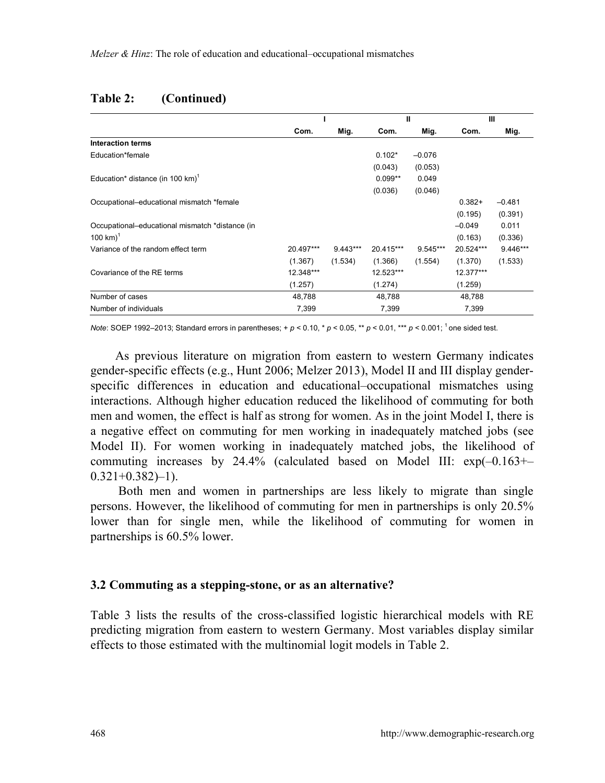#### **Table 2: (Continued)**

|                                                 |           |            | Ш         |          | Ш         |            |
|-------------------------------------------------|-----------|------------|-----------|----------|-----------|------------|
|                                                 | Com.      | Mig.       | Com.      | Mig.     | Com.      | Mig.       |
| <b>Interaction terms</b>                        |           |            |           |          |           |            |
| Education*female                                |           |            | $0.102*$  | $-0.076$ |           |            |
|                                                 |           |            | (0.043)   | (0.053)  |           |            |
| Education* distance (in 100 km) <sup>1</sup>    |           |            | $0.099**$ | 0.049    |           |            |
|                                                 |           |            | (0.036)   | (0.046)  |           |            |
| Occupational-educational mismatch *female       |           |            |           |          | $0.382+$  | $-0.481$   |
|                                                 |           |            |           |          | (0.195)   | (0.391)    |
| Occupational-educational mismatch *distance (in |           |            |           |          | $-0.049$  | 0.011      |
| 100 km $)^1$                                    |           |            |           |          | (0.163)   | (0.336)    |
| Variance of the random effect term              | 20.497*** | $9.443***$ | 20.415*** | 9.545*** | 20.524*** | $9.446***$ |
|                                                 | (1.367)   | (1.534)    | (1.366)   | (1.554)  | (1.370)   | (1.533)    |
| Covariance of the RE terms                      | 12.348*** |            | 12.523*** |          | 12.377*** |            |
|                                                 | (1.257)   |            | (1.274)   |          | (1.259)   |            |
| Number of cases                                 | 48,788    |            | 48,788    |          | 48,788    |            |
| Number of individuals                           | 7,399     |            | 7,399     |          | 7,399     |            |

*Note*: SOEP 1992–2013; Standard errors in parentheses; + *p* < 0.10, \* *p* < 0.05, \*\* *p* < 0.01, \*\*\* *p* < 0.001; <sup>1</sup> one sided test.

As previous literature on migration from eastern to western Germany indicates gender-specific effects (e.g., Hunt 2006; Melzer 2013), Model II and III display genderspecific differences in education and educational–occupational mismatches using interactions. Although higher education reduced the likelihood of commuting for both men and women, the effect is half as strong for women. As in the joint Model I, there is a negative effect on commuting for men working in inadequately matched jobs (see Model II). For women working in inadequately matched jobs, the likelihood of commuting increases by 24.4% (calculated based on Model III:  $exp(-0.163+)$  $0.321+0.382-1$ .

 Both men and women in partnerships are less likely to migrate than single persons. However, the likelihood of commuting for men in partnerships is only 20.5% lower than for single men, while the likelihood of commuting for women in partnerships is 60.5% lower.

#### **3.2 Commuting as a stepping-stone, or as an alternative?**

Table 3 lists the results of the cross-classified logistic hierarchical models with RE predicting migration from eastern to western Germany. Most variables display similar effects to those estimated with the multinomial logit models in Table 2.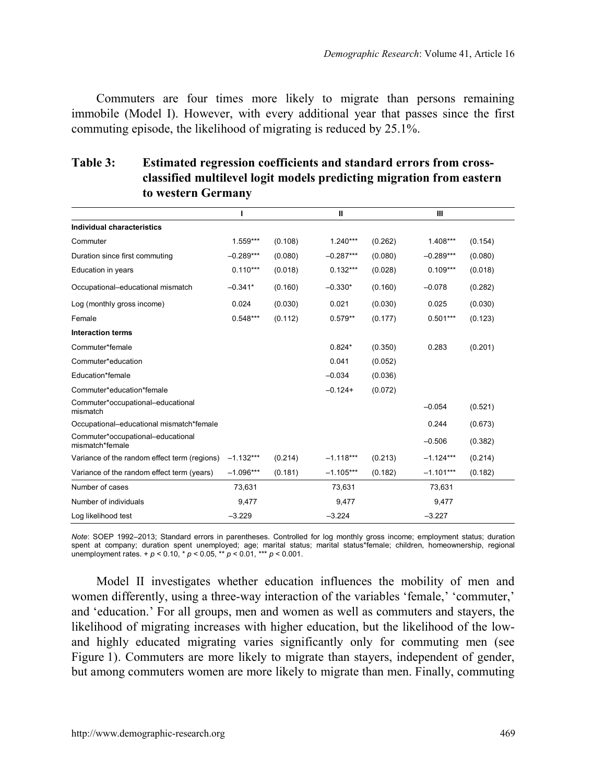Commuters are four times more likely to migrate than persons remaining immobile (Model I). However, with every additional year that passes since the first commuting episode, the likelihood of migrating is reduced by 25.1%.

|                            | classified multilevel logit models predicting migration from eastern<br>to western Germany |  |   |  |  |  |  |  |  |
|----------------------------|--------------------------------------------------------------------------------------------|--|---|--|--|--|--|--|--|
|                            |                                                                                            |  | Ш |  |  |  |  |  |  |
| Individual characteristics |                                                                                            |  |   |  |  |  |  |  |  |

**Table 3: Estimated regression coefficients and standard errors from cross-**

|             |         |             |         | ш           |         |
|-------------|---------|-------------|---------|-------------|---------|
|             |         |             |         |             |         |
| $1.559***$  | (0.108) | $1.240***$  | (0.262) | $1.408***$  | (0.154) |
| $-0.289***$ | (0.080) | $-0.287***$ | (0.080) | $-0.289***$ | (0.080) |
| $0.110***$  | (0.018) | $0.132***$  | (0.028) | $0.109***$  | (0.018) |
| $-0.341*$   | (0.160) | $-0.330*$   | (0.160) | $-0.078$    | (0.282) |
| 0.024       | (0.030) | 0.021       | (0.030) | 0.025       | (0.030) |
| $0.548***$  | (0.112) | $0.579**$   | (0.177) | $0.501***$  | (0.123) |
|             |         |             |         |             |         |
|             |         | $0.824*$    | (0.350) | 0.283       | (0.201) |
|             |         | 0.041       | (0.052) |             |         |
|             |         | $-0.034$    | (0.036) |             |         |
|             |         | $-0.124+$   | (0.072) |             |         |
|             |         |             |         | $-0.054$    | (0.521) |
|             |         |             |         | 0.244       | (0.673) |
|             |         |             |         | $-0.506$    | (0.382) |
| $-1.132***$ | (0.214) | $-1.118***$ | (0.213) | $-1.124***$ | (0.214) |
| $-1.096***$ | (0.181) | $-1.105***$ | (0.182) | $-1.101***$ | (0.182) |
| 73,631      |         | 73,631      |         | 73,631      |         |
| 9,477       |         | 9,477       |         | 9,477       |         |
| $-3.229$    |         | $-3.224$    |         | $-3.227$    |         |
|             |         |             |         |             |         |

*Note*: SOEP 1992–2013; Standard errors in parentheses. Controlled for log monthly gross income; employment status; duration spent at company; duration spent unemployed; age; marital status; marital status\*female; children, homeownership, regional<br>unemployment rates. + *p* < 0.10, \* *p* < 0.05, \*\* *p* < 0.01, \*\*\* *p* < 0.001.

Model II investigates whether education influences the mobility of men and women differently, using a three-way interaction of the variables 'female,' 'commuter,' and 'education.' For all groups, men and women as well as commuters and stayers, the likelihood of migrating increases with higher education, but the likelihood of the lowand highly educated migrating varies significantly only for commuting men (see Figure 1). Commuters are more likely to migrate than stayers, independent of gender, but among commuters women are more likely to migrate than men. Finally, commuting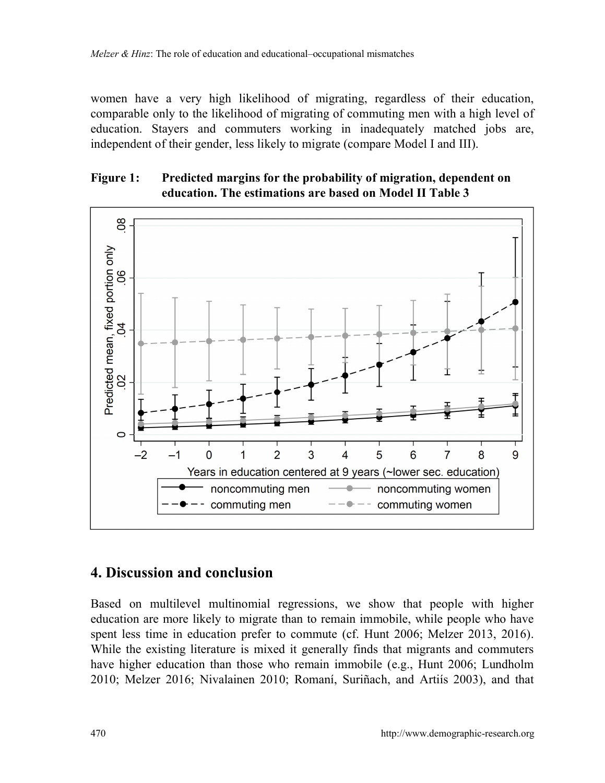women have a very high likelihood of migrating, regardless of their education, comparable only to the likelihood of migrating of commuting men with a high level of education. Stayers and commuters working in inadequately matched jobs are, independent of their gender, less likely to migrate (compare Model I and III).

### **Figure 1: Predicted margins for the probability of migration, dependent on education. The estimations are based on Model II Table 3**



# **4. Discussion and conclusion**

Based on multilevel multinomial regressions, we show that people with higher education are more likely to migrate than to remain immobile, while people who have spent less time in education prefer to commute (cf. Hunt 2006; Melzer 2013, 2016). While the existing literature is mixed it generally finds that migrants and commuters have higher education than those who remain immobile (e.g., Hunt 2006; Lundholm 2010; Melzer 2016; Nivalainen 2010; Romaní, Suriñach, and Artiís 2003), and that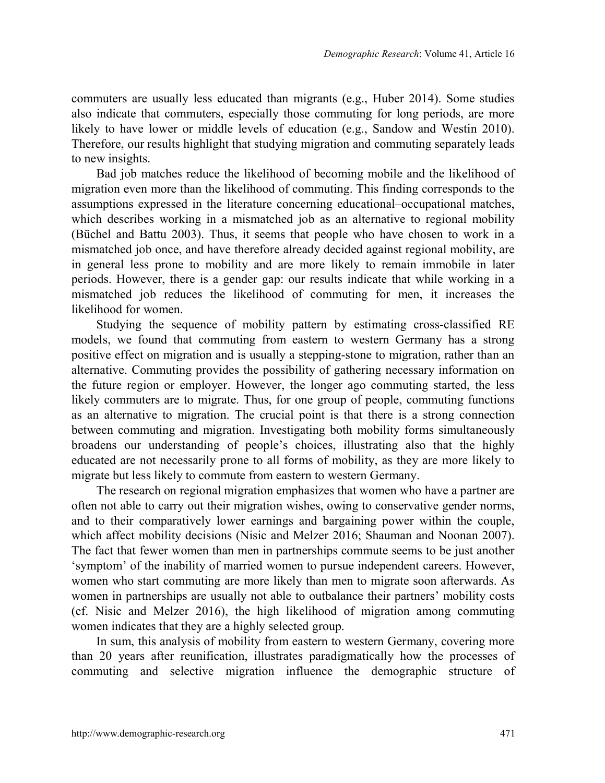commuters are usually less educated than migrants (e.g., Huber 2014). Some studies also indicate that commuters, especially those commuting for long periods, are more likely to have lower or middle levels of education (e.g., Sandow and Westin 2010). Therefore, our results highlight that studying migration and commuting separately leads to new insights.

Bad job matches reduce the likelihood of becoming mobile and the likelihood of migration even more than the likelihood of commuting. This finding corresponds to the assumptions expressed in the literature concerning educational–occupational matches, which describes working in a mismatched job as an alternative to regional mobility (Büchel and Battu 2003). Thus, it seems that people who have chosen to work in a mismatched job once, and have therefore already decided against regional mobility, are in general less prone to mobility and are more likely to remain immobile in later periods. However, there is a gender gap: our results indicate that while working in a mismatched job reduces the likelihood of commuting for men, it increases the likelihood for women.

Studying the sequence of mobility pattern by estimating cross-classified RE models, we found that commuting from eastern to western Germany has a strong positive effect on migration and is usually a stepping-stone to migration, rather than an alternative. Commuting provides the possibility of gathering necessary information on the future region or employer. However, the longer ago commuting started, the less likely commuters are to migrate. Thus, for one group of people, commuting functions as an alternative to migration. The crucial point is that there is a strong connection between commuting and migration. Investigating both mobility forms simultaneously broadens our understanding of people's choices, illustrating also that the highly educated are not necessarily prone to all forms of mobility, as they are more likely to migrate but less likely to commute from eastern to western Germany.

The research on regional migration emphasizes that women who have a partner are often not able to carry out their migration wishes, owing to conservative gender norms, and to their comparatively lower earnings and bargaining power within the couple, which affect mobility decisions (Nisic and Melzer 2016; Shauman and Noonan 2007). The fact that fewer women than men in partnerships commute seems to be just another 'symptom' of the inability of married women to pursue independent careers. However, women who start commuting are more likely than men to migrate soon afterwards. As women in partnerships are usually not able to outbalance their partners' mobility costs (cf. Nisic and Melzer 2016), the high likelihood of migration among commuting women indicates that they are a highly selected group.

In sum, this analysis of mobility from eastern to western Germany, covering more than 20 years after reunification, illustrates paradigmatically how the processes of commuting and selective migration influence the demographic structure of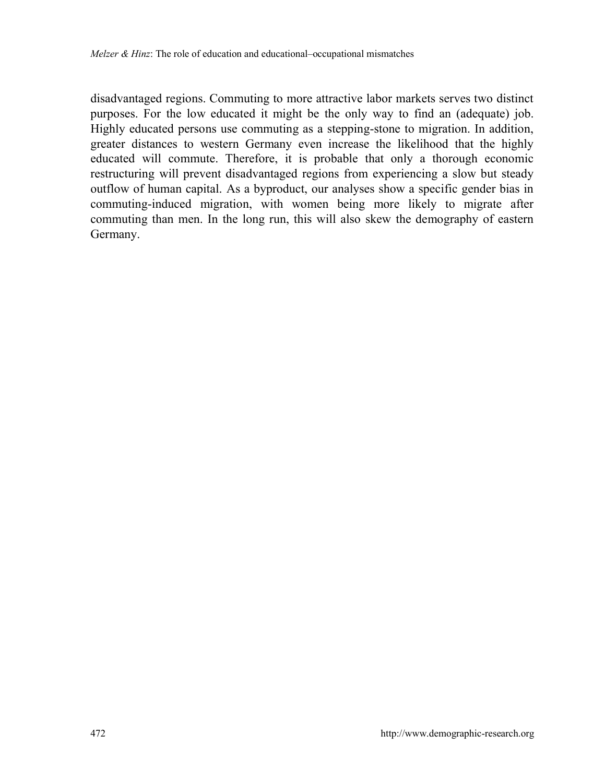disadvantaged regions. Commuting to more attractive labor markets serves two distinct purposes. For the low educated it might be the only way to find an (adequate) job. Highly educated persons use commuting as a stepping-stone to migration. In addition, greater distances to western Germany even increase the likelihood that the highly educated will commute. Therefore, it is probable that only a thorough economic restructuring will prevent disadvantaged regions from experiencing a slow but steady outflow of human capital. As a byproduct, our analyses show a specific gender bias in commuting-induced migration, with women being more likely to migrate after commuting than men. In the long run, this will also skew the demography of eastern Germany.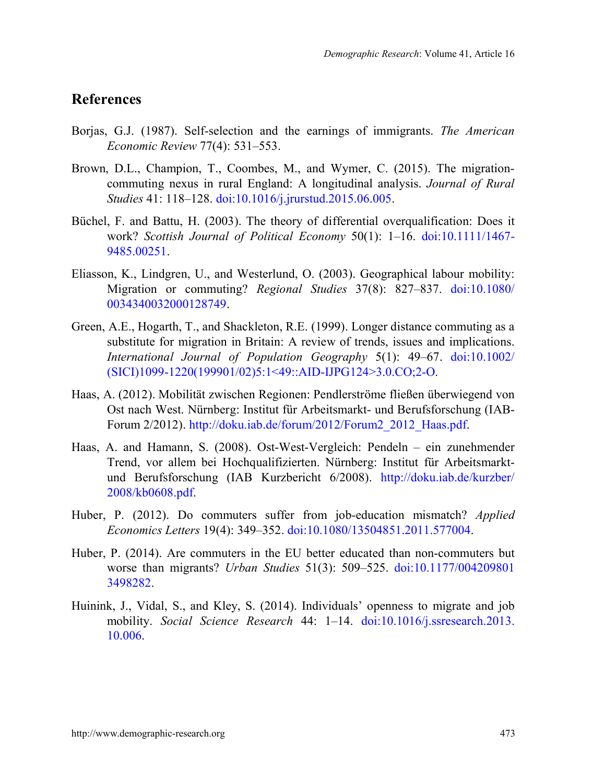## **References**

- Borjas, G.J. (1987). Self-selection and the earnings of immigrants. *The American Economic Review* 77(4): 531–553.
- Brown, D.L., Champion, T., Coombes, M., and Wymer, C. (2015). The migrationcommuting nexus in rural England: A longitudinal analysis. *Journal of Rural Studies* 41: 118–128. [doi:10.1016/j.jrurstud.2015.06.005.](https://doi.org/10.1016/j.jrurstud.2015.06.005)
- Büchel, F. and Battu, H. (2003). The theory of differential overqualification: Does it work? *Scottish Journal of Political Economy* 50(1): 1–16. [doi:10.1111/1467-](https://doi.org/10.1111/1467-9485.00251) [9485.00251.](https://doi.org/10.1111/1467-9485.00251)
- Eliasson, K., Lindgren, U., and Westerlund, O. (2003). Geographical labour mobility: Migration or commuting? *Regional Studies* 37(8): 827–837. [doi:10.1080/](https://doi.org/10.1080/0034340032000128749) [0034340032000128749.](https://doi.org/10.1080/0034340032000128749)
- Green, A.E., Hogarth, T., and Shackleton, R.E. (1999). Longer distance commuting as a substitute for migration in Britain: A review of trends, issues and implications. *International Journal of Population Geography* 5(1): 49–67. [doi:10.1002/](https://doi.org/10.1002/(SICI)1099-1220(199901/02)5:1%3C49::AID-IJPG124%3E3.0.CO;2-O) [\(SICI\)1099-1220\(199901/02\)5:1<49::AID-IJPG124>3.0.CO;2-O.](https://doi.org/10.1002/(SICI)1099-1220(199901/02)5:1%3C49::AID-IJPG124%3E3.0.CO;2-O)
- Haas, A. (2012). Mobilität zwischen Regionen: Pendlerströme fließen überwiegend von Ost nach West. Nürnberg: Institut für Arbeitsmarkt- und Berufsforschung (IAB-Forum 2/2012). [http://doku.iab.de/forum/2012/Forum2\\_2012\\_Haas.pdf.](http://doku.iab.de/forum/2012/Forum2_2012_Haas.pdf)
- Haas, A. and Hamann, S. (2008). Ost-West-Vergleich: Pendeln ein zunehmender Trend, vor allem bei Hochqualifizierten. Nürnberg: Institut für Arbeitsmarktund Berufsforschung (IAB Kurzbericht 6/2008). [http://doku.iab.de/kurzber/](http://doku.iab.de/kurzber/2008/kb0608.pdf) [2008/kb0608.pdf.](http://doku.iab.de/kurzber/2008/kb0608.pdf)
- Huber, P. (2012). Do commuters suffer from job-education mismatch? *Applied Economics Letters* 19(4): 349–352. [doi:10.1080/13504851.2011.577004.](https://doi.org/10.1080/13504851.2011.577004)
- Huber, P. (2014). Are commuters in the EU better educated than non-commuters but worse than migrants? *Urban Studies* 51(3): 509–525. [doi:10.1177/004209801](https://doi.org/10.1177/0042098013498282) [3498282.](https://doi.org/10.1177/0042098013498282)
- Huinink, J., Vidal, S., and Kley, S. (2014). Individuals' openness to migrate and job mobility. *Social Science Research* 44: 1–14. [doi:10.1016/j.ssresearch.2013.](https://doi.org/10.1016/j.ssresearch.2013.10.006) [10.006.](https://doi.org/10.1016/j.ssresearch.2013.10.006)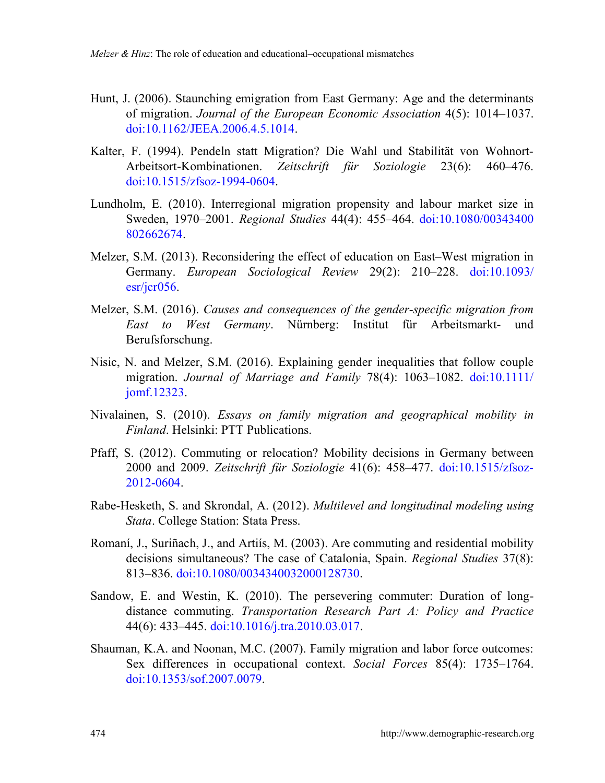- Hunt, J. (2006). Staunching emigration from East Germany: Age and the determinants of migration. *Journal of the European Economic Association* 4(5): 1014–1037. [doi:10.1162/JEEA.2006.4.5.1014.](https://doi.org/10.1162/JEEA.2006.4.5.1014)
- Kalter, F. (1994). Pendeln statt Migration? Die Wahl und Stabilität von Wohnort-Arbeitsort-Kombinationen. *Zeitschrift für Soziologie* 23(6): 460–476. [doi:10.1515/zfsoz-1994-0604.](https://doi.org/10.1515/zfsoz-1994-0604)
- Lundholm, E. (2010). Interregional migration propensity and labour market size in Sweden, 1970–2001. *Regional Studies* 44(4): 455–464. [doi:10.1080/00343400](https://doi.org/10.1080/00343400802662674) [802662674.](https://doi.org/10.1080/00343400802662674)
- Melzer, S.M. (2013). Reconsidering the effect of education on East–West migration in Germany. *European Sociological Review* 29(2): 210–228. [doi:10.1093/](https://doi.org/10.1093/esr/jcr056) [esr/jcr056.](https://doi.org/10.1093/esr/jcr056)
- Melzer, S.M. (2016). *Causes and consequences of the gender-specific migration from East to West Germany*. Nürnberg: Institut für Arbeitsmarkt- und Berufsforschung.
- Nisic, N. and Melzer, S.M. (2016). Explaining gender inequalities that follow couple migration. *Journal of Marriage and Family* 78(4): 1063–1082. [doi:10.1111/](https://doi.org/10.1111/jomf.12323) [jomf.12323.](https://doi.org/10.1111/jomf.12323)
- Nivalainen, S. (2010). *Essays on family migration and geographical mobility in Finland*. Helsinki: PTT Publications.
- Pfaff, S. (2012). Commuting or relocation? Mobility decisions in Germany between 2000 and 2009. *Zeitschrift für Soziologie* 41(6): 458–477. [doi:10.1515/zfsoz-](https://doi.org/10.1515/zfsoz-2012-0604)[2012-0604.](https://doi.org/10.1515/zfsoz-2012-0604)
- Rabe-Hesketh, S. and Skrondal, A. (2012). *Multilevel and longitudinal modeling using Stata*. College Station: Stata Press.
- Romaní, J., Suriñach, J., and Artiís, M. (2003). Are commuting and residential mobility decisions simultaneous? The case of Catalonia, Spain. *Regional Studies* 37(8): 813–836. [doi:10.1080/0034340032000128730.](https://doi.org/10.1080/0034340032000128730)
- Sandow, E. and Westin, K. (2010). The persevering commuter: Duration of longdistance commuting. *Transportation Research Part A: Policy and Practice* 44(6): 433–445. [doi:10.1016/j.tra.2010.03.017.](https://doi.org/10.1016/j.tra.2010.03.017)
- Shauman, K.A. and Noonan, M.C. (2007). Family migration and labor force outcomes: Sex differences in occupational context. *Social Forces* 85(4): 1735–1764. [doi:10.1353/sof.2007.0079.](https://doi.org/10.1353/sof.2007.0079)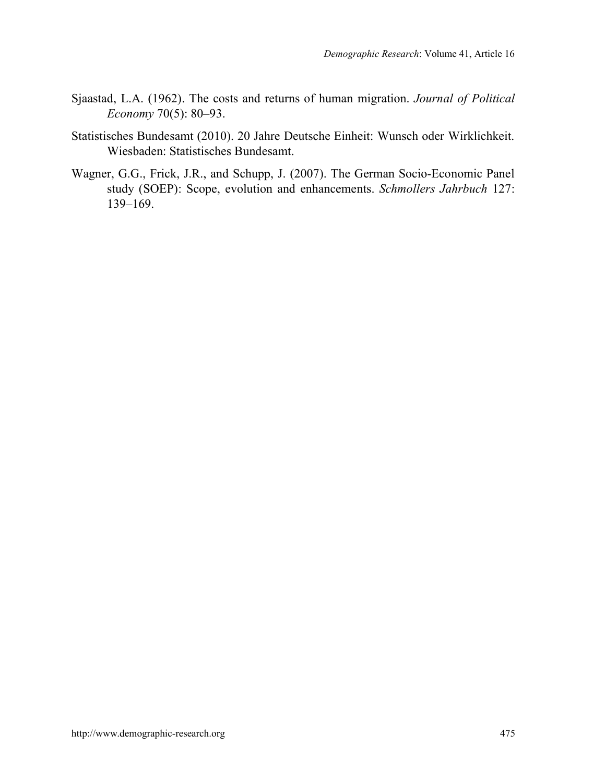- Sjaastad, L.A. (1962). The costs and returns of human migration. *Journal of Political Economy* 70(5): 80–93.
- Statistisches Bundesamt (2010). 20 Jahre Deutsche Einheit: Wunsch oder Wirklichkeit. Wiesbaden: Statistisches Bundesamt.
- Wagner, G.G., Frick, J.R., and Schupp, J. (2007). The German Socio-Economic Panel study (SOEP): Scope, evolution and enhancements. *Schmollers Jahrbuch* 127: 139–169.